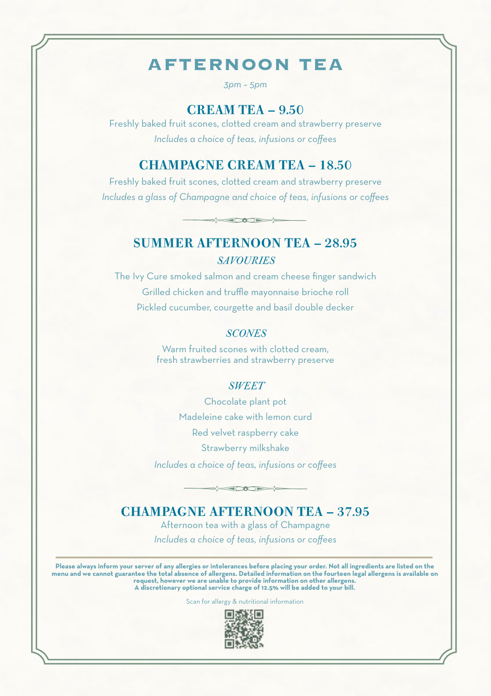# **AFTERNOON TEA**

*3pm – 5pm*

#### CREAM TEA – 9.50

Freshly baked fruit scones, clotted cream and strawberry preserve *Includes a choice of teas, infusions or coffees*

### CHAMPAGNE CREAM TEA – 18.50

Freshly baked fruit scones, clotted cream and strawberry preserve *Includes a glass of Champagne and choice of teas, infusions or coffees*

 $\frac{1}{2}$ 

### SUMMER AFTERNOON TEA – 28.95 *SAVOURIES*

The Ivy Cure smoked salmon and cream cheese finger sandwich Grilled chicken and truffle mayonnaise brioche roll Pickled cucumber, courgette and basil double decker

#### *SCONES*

Warm fruited scones with clotted cream, fresh strawberries and strawberry preserve

#### *SWEET*

Chocolate plant pot Madeleine cake with lemon curd Red velvet raspberry cake Strawberry milkshake *Includes a choice of teas, infusions or coffees*

## $\frac{1}{2}$ CHAMPAGNE AFTERNOON TEA – 37.95

Afternoon tea with a glass of Champagne *Includes a choice of teas, infusions or coffees*

Please always inform your server of any allergies or intolerances before placing your order. Not all ingredients are listed on the<br>menu and we cannot guarantee the total absence of allergens. Detailed information on the fo

Scan for allergy & nutritional information